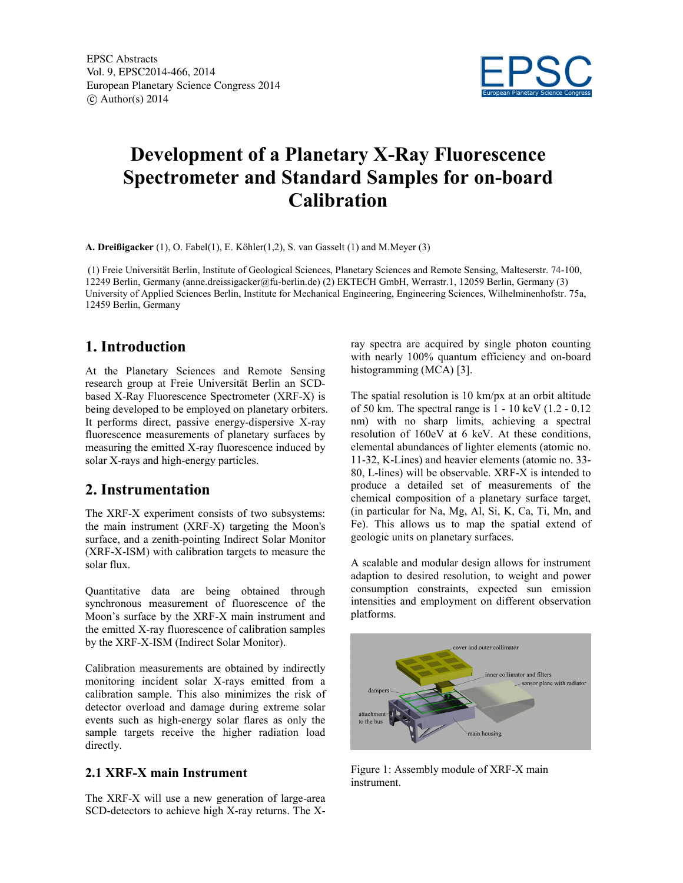EPSC Abstracts Vol. 9, EPSC2014-466, 2014 European Planetary Science Congress 2014  $\circ$  Author(s) 2014



# **Development of a Planetary X-Ray Fluorescence Spectrometer and Standard Samples for on-board Calibration**

**A. Dreißigacker** (1), O. Fabel(1), E. Köhler(1,2), S. van Gasselt (1) and M.Meyer (3)

(1) Freie Universität Berlin, Institute of Geological Sciences, Planetary Sciences and Remote Sensing, Malteserstr. 74-100, 12249 Berlin, Germany (anne.dreissigacker@fu-berlin.de) (2) EKTECH GmbH, Werrastr.1, 12059 Berlin, Germany (3) University of Applied Sciences Berlin, Institute for Mechanical Engineering, Engineering Sciences, Wilhelminenhofstr. 75a, 12459 Berlin, Germany

## **1. Introduction**

At the Planetary Sciences and Remote Sensing research group at Freie Universität Berlin an SCDbased X-Ray Fluorescence Spectrometer (XRF-X) is being developed to be employed on planetary orbiters. It performs direct, passive energy-dispersive X-ray fluorescence measurements of planetary surfaces by measuring the emitted X-ray fluorescence induced by solar X-rays and high-energy particles.

# **2. Instrumentation**

The XRF-X experiment consists of two subsystems: the main instrument (XRF-X) targeting the Moon's surface, and a zenith-pointing Indirect Solar Monitor (XRF-X-ISM) with calibration targets to measure the solar flux.

Quantitative data are being obtained through synchronous measurement of fluorescence of the Moon's surface by the XRF-X main instrument and the emitted X-ray fluorescence of calibration samples by the XRF-X-ISM (Indirect Solar Monitor).

Calibration measurements are obtained by indirectly monitoring incident solar X-rays emitted from a calibration sample. This also minimizes the risk of detector overload and damage during extreme solar events such as high-energy solar flares as only the sample targets receive the higher radiation load directly.

#### **2.1 XRF-X main Instrument**

The XRF-X will use a new generation of large-area SCD-detectors to achieve high X-ray returns. The X-

ray spectra are acquired by single photon counting with nearly 100% quantum efficiency and on-board histogramming (MCA) [3].

The spatial resolution is 10 km/px at an orbit altitude of 50 km. The spectral range is 1 - 10 keV (1.2 - 0.12 nm) with no sharp limits, achieving a spectral resolution of 160eV at 6 keV. At these conditions, elemental abundances of lighter elements (atomic no. 11-32, K-Lines) and heavier elements (atomic no. 33- 80, L-lines) will be observable. XRF-X is intended to produce a detailed set of measurements of the chemical composition of a planetary surface target, (in particular for Na, Mg, Al, Si, K, Ca, Ti, Mn, and Fe). This allows us to map the spatial extend of geologic units on planetary surfaces.

A scalable and modular design allows for instrument adaption to desired resolution, to weight and power consumption constraints, expected sun emission intensities and employment on different observation platforms.



Figure 1: Assembly module of XRF-X main instrument.